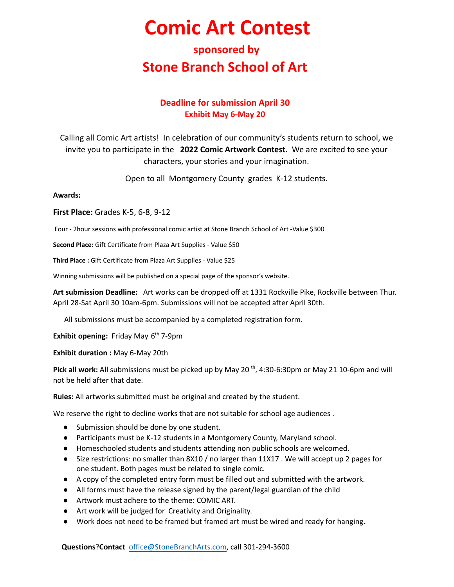# **Comic Art Contest**

### **sponsored by Stone Branch School of Art**

### **Deadline for submission April 30 Exhibit May 6-May 20**

Calling all Comic Art artists! In celebration of our community's students return to school, we invite you to participate in the **2022 Comic Artwork Contest.** We are excited to see your characters, your stories and your imagination.

Open to all Montgomery County grades K-12 students.

#### **Awards:**

**First Place:** Grades K-5, 6-8, 9-12

Four - 2hour sessions with professional comic artist at Stone Branch School of Art -Value \$300

**Second Place:** Gift Certificate from Plaza Art Supplies - Value \$50

**Third Place :** Gift Certificate from Plaza Art Supplies - Value \$25

Winning submissions will be published on a special page of the sponsor's website.

**Art submission Deadline:** Art works can be dropped off at 1331 Rockville Pike, Rockville between Thur. April 28-Sat April 30 10am-6pm. Submissions will not be accepted after April 30th.

All submissions must be accompanied by a completed registration form.

**Exhibit opening:** Friday May 6<sup>th</sup> 7-9pm

**Exhibit duration :** May 6-May 20th

Pick all work: All submissions must be picked up by May 20<sup>th</sup>, 4:30-6:30pm or May 21 10-6pm and will not be held after that date.

**Rules:** All artworks submitted must be original and created by the student.

We reserve the right to decline works that are not suitable for school age audiences .

- Submission should be done by one student.
- Participants must be K-12 students in a Montgomery County, Maryland school.
- Homeschooled students and students attending non public schools are welcomed.
- Size restrictions: no smaller than 8X10 / no larger than 11X17. We will accept up 2 pages for one student. Both pages must be related to single comic.
- A copy of the completed entry form must be filled out and submitted with the artwork.
- All forms must have the release signed by the parent/legal guardian of the child
- Artwork must adhere to the theme: COMIC ART.
- Art work will be judged for Creativity and Originality.
- Work does not need to be framed but framed art must be wired and ready for hanging.

**Questions**?**Contact** [office@StoneBranchArts.com,](mailto:office@StoneBranchArts.com) call 301-294-3600